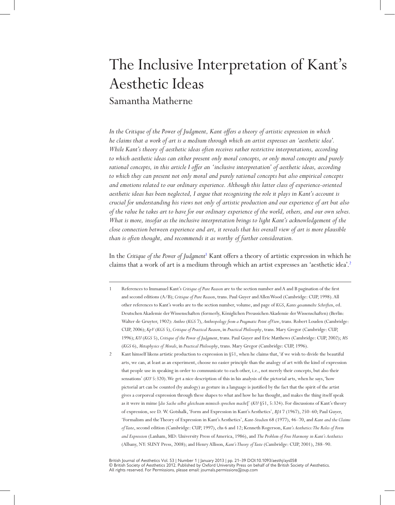# The Inclusive Interpretation of Kant's Aesthetic Ideas Samantha Matherne

*In the Critique of the Power of Judgment, Kant offers a theory of artistic expression in which he claims that a work of art is a medium through which an artist expresses an 'aesthetic idea'. While Kant's theory of aesthetic ideas often receives rather restrictive interpretations, according to which aesthetic ideas can either present only moral concepts, or only moral concepts and purely rational concepts, in this article I offer an 'inclusive interpretation' of aesthetic ideas, according to which they can present not only moral and purely rational concepts but also empirical concepts and emotions related to our ordinary experience. Although this latter class of experience-oriented aesthetic ideas has been neglected, I argue that recognizing the role it plays in Kant's account is crucial for understanding his views not only of artistic production and our experience of art but also of the value he takes art to have for our ordinary experience of the world, others, and our own selves. What is more, insofar as the inclusive interpretation brings to light Kant's acknowledgement of the close connection between experience and art, it reveals that his overall view of art is more plausible than is often thought, and recommends it as worthy of further consideration.*

In the *Critique of the Power of Judgment*1 Kant offers a theory of artistic expression in which he claims that a work of art is a medium through which an artist expresses an 'aesthetic idea'.<sup>2</sup>

- 1 References to Immanuel Kant's *Critique of Pure Reason* are to the section number and A and B pagination of the first and second editions (A/B); *Critique of Pure Reason*, trans. Paul Guyer and Allen Wood (Cambridge: CUP, 1998). All other references to Kant's works are to the section number, volume, and page of *KGS*, *Kants gesammelte Schriften*, ed. Deutschen Akademie der Wissenschaften (formerly, Königlichen Preussichen Akademie der Wissenschaften) (Berlin: Walter de Gruyter, 1902): *Anthro* (*KGS* 7), *Anthropology from a Pragmatic Point of View*, trans. Robert Louden (Cambridge: CUP, 2006); *KpV* (*KGS* 5), *Critique of Practical Reason*, in *Practical Philosophy*, trans. Mary Gregor (Cambridge: CUP, 1996); *KU* (*KGS* 5), *Critique of the Power of Judgment*, trans. Paul Guyer and Eric Matthews (Cambridge: CUP, 2002); *MS* (*KGS* 6), *Metaphysics of Morals*, in *Practical Philosophy*, trans. Mary Gregor (Cambridge: CUP, 1996).
- 2 Kant himself likens artistic production to expression in §51, when he claims that, 'if we wish to divide the beautiful arts, we can, at least as an experiment, choose no easier principle than the analogy of art with the kind of expression that people use in speaking in order to communicate to each other, i.e., not merely their concepts, but also their sensations' (*KU* 5:320). We get a nice description of this in his analysis of the pictorial arts, when he says, 'how pictorial art can be counted (by analogy) as gesture in a language is justified by the fact that the spirit of the artist gives a corporeal expression through these shapes to what and how he has thought, and makes the thing itself speak as it were in mime [*die Sache selbst gleichsam mimisch sprechen macht*]' (*KU* §51, 5:324). For discussions of Kant's theory of expression, see D. W. Gotshalk, 'Form and Expression in Kant's Aesthetics', *BJA* 7 (1967), 250–60; Paul Guyer, 'Formalism and the Theory of Expression in Kant's Aesthetics', *Kant-Studien* 68 (1977), 46–70, and *Kant and the Claims of Taste*, second edition (Cambridge: CUP, 1997), chs 6 and 12; Kenneth Rogerson, *Kant's Aesthetics: The Roles of Form and Expression* (Lanham, MD: University Press of America, 1986), and *The Problem of Free Harmony in Kant's Aesthetics* (Albany, NY: SUNY Press, 2008); and Henry Allison, *Kant's Theory of Taste* (Cambridge: CUP, 2001), 288–90.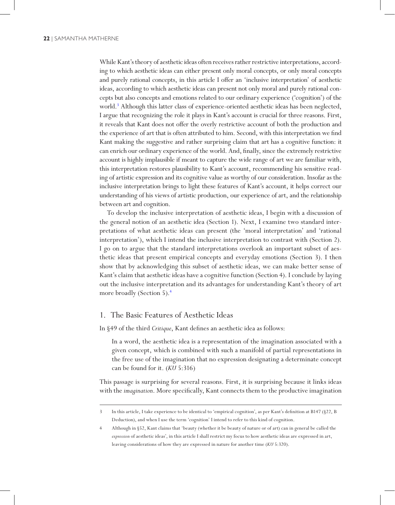While Kant's theory of aesthetic ideas often receives rather restrictive interpretations, according to which aesthetic ideas can either present only moral concepts, or only moral concepts and purely rational concepts, in this article I offer an 'inclusive interpretation' of aesthetic ideas, according to which aesthetic ideas can present not only moral and purely rational concepts but also concepts and emotions related to our ordinary experience ('cognition') of the world.<sup>3</sup> Although this latter class of experience-oriented aesthetic ideas has been neglected, I argue that recognizing the role it plays in Kant's account is crucial for three reasons. First, it reveals that Kant does not offer the overly restrictive account of both the production and the experience of art that is often attributed to him. Second, with this interpretation we find Kant making the suggestive and rather surprising claim that art has a cognitive function: it can enrich our ordinary experience of the world. And, finally, since the extremely restrictive account is highly implausible if meant to capture the wide range of art we are familiar with, this interpretation restores plausibility to Kant's account, recommending his sensitive reading of artistic expression and its cognitive value as worthy of our consideration. Insofar as the inclusive interpretation brings to light these features of Kant's account, it helps correct our understanding of his views of artistic production, our experience of art, and the relationship between art and cognition.

To develop the inclusive interpretation of aesthetic ideas, I begin with a discussion of the general notion of an aesthetic idea (Section 1). Next, I examine two standard interpretations of what aesthetic ideas can present (the 'moral interpretation' and 'rational interpretation'), which I intend the inclusive interpretation to contrast with (Section 2). I go on to argue that the standard interpretations overlook an important subset of aesthetic ideas that present empirical concepts and everyday emotions (Section 3). I then show that by acknowledging this subset of aesthetic ideas, we can make better sense of Kant's claim that aesthetic ideas have a cognitive function (Section 4). I conclude by laying out the inclusive interpretation and its advantages for understanding Kant's theory of art more broadly (Section 5).<sup>4</sup>

## 1. The Basic Features of Aesthetic Ideas

In §49 of the third *Critique*, Kant defines an aesthetic idea as follows:

In a word, the aesthetic idea is a representation of the imagination associated with a given concept, which is combined with such a manifold of partial representations in the free use of the imagination that no expression designating a determinate concept can be found for it. (*KU* 5:316)

This passage is surprising for several reasons. First, it is surprising because it links ideas with the *imagination*. More specifically, Kant connects them to the productive imagination

<sup>3</sup> In this article, I take experience to be identical to 'empirical cognition', as per Kant's definition at B147 (§22, B Deduction), and when I use the term 'cognition' I intend to refer to this kind of cognition.

<sup>4</sup> Although in §52, Kant claims that 'beauty (whether it be beauty of nature or of art) can in general be called the *expression* of aesthetic ideas', in this article I shall restrict my focus to how aesthetic ideas are expressed in art, leaving considerations of how they are expressed in nature for another time (*KU* 5:320).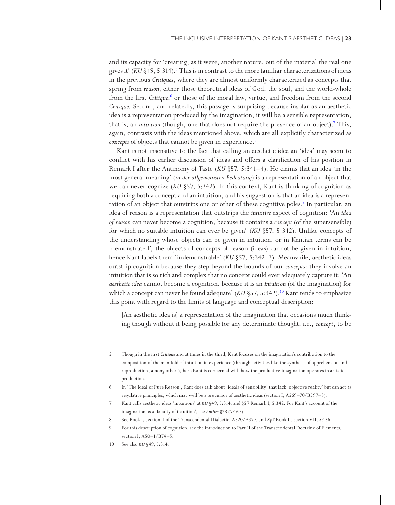and its capacity for 'creating, as it were, another nature, out of the material the real one gives it' (KU §49, 5:314).<sup>5</sup> This is in contrast to the more familiar characterizations of ideas in the previous *Critiques*, where they are almost uniformly characterized as concepts that spring from *reason*, either those theoretical ideas of God, the soul, and the world-whole from the first *Critique*,<sup>6</sup> or those of the moral law, virtue, and freedom from the second *Critique*. Second, and relatedly, this passage is surprising because insofar as an aesthetic idea is a representation produced by the imagination, it will be a sensible representation, that is, an *intuition* (though, one that does not require the presence of an object).<sup>7</sup> This, again, contrasts with the ideas mentioned above, which are all explicitly characterized as *concepts* of objects that cannot be given in experience.<sup>8</sup>

Kant is not insensitive to the fact that calling an aesthetic idea an 'idea' may seem to conflict with his earlier discussion of ideas and offers a clarification of his position in Remark I after the Antinomy of Taste (*KU* §57, 5:341–4). He claims that an idea 'in the most general meaning' (*in der allgemeinsten Bedeutung*) is a representation of an object that we can never cognize (*KU* §57, 5:342). In this context, Kant is thinking of cognition as requiring both a concept and an intuition, and his suggestion is that an idea is a representation of an object that outstrips one or other of these cognitive poles.<sup>9</sup> In particular, an idea of reason is a representation that outstrips the *intuitive* aspect of cognition: 'An *idea of reason* can never become a cognition, because it contains a *concept* (of the supersensible) for which no suitable intuition can ever be given' (*KU* §57, 5:342). Unlike concepts of the understanding whose objects can be given in intuition, or in Kantian terms can be 'demonstrated', the objects of concepts of reason (ideas) cannot be given in intuition, hence Kant labels them 'indemonstrable' (*KU* §57, 5:342–3). Meanwhile, aesthetic ideas outstrip cognition because they step beyond the bounds of our *concepts*: they involve an intuition that is so rich and complex that no concept could ever adequately capture it: 'An *aesthetic idea* cannot become a cognition, because it is an *intuition* (of the imagination) for which a concept can never be found adequate' (*KU* §57, 5:342).<sup>10</sup> Kant tends to emphasize this point with regard to the limits of language and conceptual description:

[An aesthetic idea is] a representation of the imagination that occasions much thinking though without it being possible for any determinate thought, i.e., *concept*, to be

<sup>5</sup> Though in the first *Critique* and at times in the third, Kant focuses on the imagination's contribution to the composition of the manifold of intuition in experience (through activities like the synthesis of apprehension and reproduction, among others), here Kant is concerned with how the productive imagination operates in artistic production.

<sup>6</sup> In 'The Ideal of Pure Reason', Kant does talk about 'ideals of sensibility' that lack 'objective reality' but can act as regulative principles, which may well be a precursor of aesthetic ideas (section I, A569–70/B597–8).

<sup>7</sup> Kant calls aesthetic ideas 'intuitions' at *KU* §49, 5:314, and §57 Remark I, 5:342. For Kant's account of the imagination as a 'faculty of intuition', see *Anthro* §28 (7:167).

<sup>8</sup> See Book I, section II of the Transcendental Dialectic, A320/B377, and *KpV* Book II, section VII, 5:136.

<sup>9</sup> For this description of cognition, see the introduction to Part II of the Transcendental Doctrine of Elements, section I, A50–1/B74–5.

<sup>10</sup> See also *KU* §49, 5:314.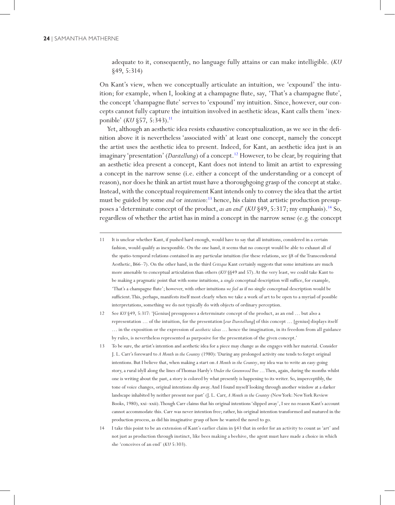adequate to it, consequently, no language fully attains or can make intelligible. (*KU* §49, 5:314)

On Kant's view, when we conceptually articulate an intuition, we 'expound' the intuition; for example, when I, looking at a champagne flute, say, 'That's a champagne flute', the concept 'champagne flute' serves to 'expound' my intuition. Since, however, our concepts cannot fully capture the intuition involved in aesthetic ideas, Kant calls them 'inexponible' (*KU* §57, 5:343).<sup>11</sup>

Yet, although an aesthetic idea resists exhaustive conceptualization, as we see in the definition above it is nevertheless 'associated with' at least one concept, namely the concept the artist uses the aesthetic idea to present. Indeed, for Kant, an aesthetic idea just is an imaginary 'presentation' (*Darstellung*) of a concept.12 However, to be clear, by requiring that an aesthetic idea present a concept, Kant does not intend to limit an artist to expressing a concept in the narrow sense (i.e. either a concept of the understanding or a concept of reason), nor does he think an artist must have a thoroughgoing grasp of the concept at stake. Instead, with the conceptual requirement Kant intends only to convey the idea that the artist must be guided by some *end* or *intention*: 13 hence, his claim that artistic production presupposes a 'determinate concept of the product, *as an end*' (*KU* §49, 5:317; my emphasis).14 So, regardless of whether the artist has in mind a concept in the narrow sense (e.g. the concept

<sup>11</sup> It is unclear whether Kant, if pushed hard enough, would have to say that all intuitions, considered in a certain fashion, would qualify as inexponible. On the one hand, it seems that no concept would be able to exhaust all of the spatio-temporal relations contained in any particular intuition (for these relations, see §8 of the Transcendental Aesthetic, B66–7). On the other hand, in the third *Critique* Kant certainly suggests that some intuitions are much more amenable to conceptual articulation than others (*KU* §§49 and 57). At the very least, we could take Kant to be making a pragmatic point that with some intuitions, a *single* conceptual description will suffice, for example, 'That's a champagne flute'; however, with other intuitions *we feel* as if no single conceptual description would be sufficient. This, perhaps, manifests itself most clearly when we take a work of art to be open to a myriad of possible interpretations, something we do not typically do with objects of ordinary perception.

<sup>12</sup> See *KU* §49, 5:317: '[Genius] presupposes a determinate concept of the product, as an end … but also a representation … of the intuition, for the presentation [*zur Darstellung*] of this concept … [genius] displays itself … in the exposition or the expression of *aesthetic ideas* … hence the imagination, in its freedom from all guidance by rules, is nevertheless represented as purposive for the presentation of the given concept.'

<sup>13</sup> To be sure, the artist's intention and aesthetic idea for a piece may change as she engages with her material. Consider J. L. Carr's foreward to *A Month in the Country* (1980): 'During any prolonged activity one tends to forget original intentions. But I believe that, when making a start on *A Month in the Country*, my idea was to write an easy-going story, a rural idyll along the lines of Thomas Hardy's *Under the Greenwood Tree* … Then, again, during the months whilst one is writing about the past, a story is colored by what presently is happening to its writer. So, imperceptibly, the tone of voice changes, original intentions slip away. And I found myself looking through another window at a darker landscape inhabited by neither present nor past' (J. L. Carr, *A Month in the Country* (New York: New York Review Books, 1980), xxi–xxii). Though Carr claims that his original intentions 'slipped away', I see no reason Kant's account cannot accommodate this. Carr was never intention free; rather, his original intention transformed and matured in the production process, as did his imaginative grasp of how he wanted the novel to go.

<sup>14</sup> I take this point to be an extension of Kant's earlier claim in §43 that in order for an activity to count as 'art' and not just as production through instinct, like bees making a beehive, the agent must have made a choice in which she 'conceives of an end' (*KU* 5:303).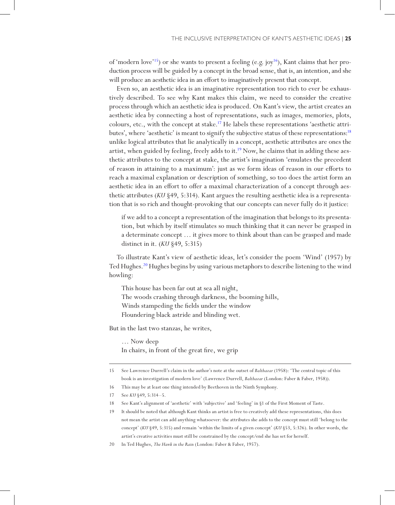of 'modern love'<sup>15</sup>) or she wants to present a feeling (e.g. joy<sup>16</sup>), Kant claims that her production process will be guided by a concept in the broad sense, that is, an intention, and she will produce an aesthetic idea in an effort to imaginatively present that concept.

Even so, an aesthetic idea is an imaginative representation too rich to ever be exhaustively described. To see why Kant makes this claim, we need to consider the creative process through which an aesthetic idea is produced. On Kant's view, the artist creates an aesthetic idea by connecting a host of representations, such as images, memories, plots, colours, etc., with the concept at stake.17 He labels these representations 'aesthetic attributes', where 'aesthetic' is meant to signify the subjective status of these representations:<sup>18</sup> unlike logical attributes that lie analytically in a concept, aesthetic attributes are ones the artist, when guided by feeling, freely adds to it.<sup>19</sup> Now, he claims that in adding these aesthetic attributes to the concept at stake, the artist's imagination 'emulates the precedent of reason in attaining to a maximum': just as we form ideas of reason in our efforts to reach a maximal explanation or description of something, so too does the artist form an aesthetic idea in an effort to offer a maximal characterization of a concept through aesthetic attributes (*KU* §49, 5:314). Kant argues the resulting aesthetic idea is a representation that is so rich and thought-provoking that our concepts can never fully do it justice:

if we add to a concept a representation of the imagination that belongs to its presentation, but which by itself stimulates so much thinking that it can never be grasped in a determinate concept … it gives more to think about than can be grasped and made distinct in it. (*KU* §49, 5:315)

To illustrate Kant's view of aesthetic ideas, let's consider the poem 'Wind' (1957) by Ted Hughes.<sup>20</sup> Hughes begins by using various metaphors to describe listening to the wind howling:

This house has been far out at sea all night, The woods crashing through darkness, the booming hills, Winds stampeding the fields under the window Floundering black astride and blinding wet.

But in the last two stanzas, he writes,

… Now deep In chairs, in front of the great fire, we grip

<sup>15</sup> See Lawrence Durrell's claim in the author's note at the outset of *Balthazar* (1958): 'The central topic of this book is an investigation of modern love' (Lawrence Durrell, *Balthazar* (London: Faber & Faber, 1958)).

<sup>16</sup> This may be at least one thing intended by Beethoven in the Ninth Symphony.

<sup>17</sup> See *KU* §49, 5:314–5.

<sup>18</sup> See Kant's alignment of 'aesthetic' with 'subjective' and 'feeling' in §1 of the First Moment of Taste.

<sup>19</sup> It should be noted that although Kant thinks an artist is free to creatively add these representations, this does not mean the artist can add anything whatsoever: the attributes she adds to the concept must still 'belong to the concept' (*KU* §49, 5:315) and remain 'within the limits of a given concept' (*KU* §53, 5:326). In other words, the artist's creative activities must still be constrained by the concept/end she has set for herself.

<sup>20</sup> In Ted Hughes, *The Hawk in the Rain* (London: Faber & Faber, 1957).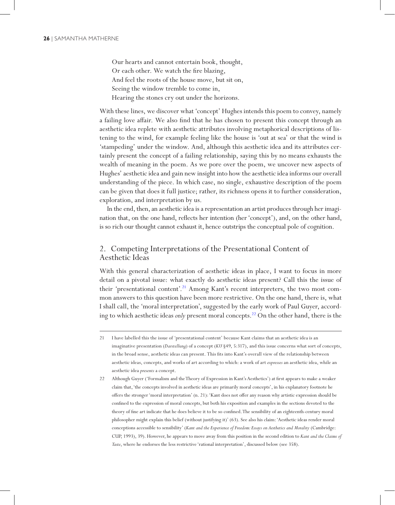Our hearts and cannot entertain book, thought, Or each other. We watch the fire blazing, And feel the roots of the house move, but sit on, Seeing the window tremble to come in, Hearing the stones cry out under the horizons.

With these lines, we discover what 'concept' Hughes intends this poem to convey, namely a failing love affair. We also find that he has chosen to present this concept through an aesthetic idea replete with aesthetic attributes involving metaphorical descriptions of listening to the wind, for example feeling like the house is 'out at sea' or that the wind is 'stampeding' under the window. And, although this aesthetic idea and its attributes certainly present the concept of a failing relationship, saying this by no means exhausts the wealth of meaning in the poem. As we pore over the poem, we uncover new aspects of Hughes' aesthetic idea and gain new insight into how the aesthetic idea informs our overall understanding of the piece. In which case, no single, exhaustive description of the poem can be given that does it full justice; rather, its richness opens it to further consideration, exploration, and interpretation by us.

In the end, then, an aesthetic idea is a representation an artist produces through her imagination that, on the one hand, reflects her intention (her 'concept'), and, on the other hand, is so rich our thought cannot exhaust it, hence outstrips the conceptual pole of cognition.

# 2. Competing Interpretations of the Presentational Content of Aesthetic Ideas

With this general characterization of aesthetic ideas in place, I want to focus in more detail on a pivotal issue: what exactly do aesthetic ideas present? Call this the issue of their 'presentational content'.<sup>21</sup> Among Kant's recent interpreters, the two most common answers to this question have been more restrictive. On the one hand, there is, what I shall call, the 'moral interpretation', suggested by the early work of Paul Guyer, according to which aesthetic ideas *only* present moral concepts.22 On the other hand, there is the

<sup>21</sup> I have labelled this the issue of 'presentational content' because Kant claims that an aesthetic idea is an imaginative presentation (*Darstellung*) of a concept (*KU* §49, 5:317), and this issue concerns what sort of concepts, in the broad sense, aesthetic ideas can present. This fits into Kant's overall view of the relationship between aesthetic ideas, concepts, and works of art according to which: a work of art *expresses* an aesthetic idea, while an aesthetic idea *presents* a concept.

<sup>22</sup> Although Guyer ('Formalism and the Theory of Expression in Kant's Aesthetics') at first appears to make a weaker claim that, 'the concepts involved in aesthetic ideas are primarily moral concepts', in his explanatory footnote he offers the stronger 'moral interpretation' (n. 21): 'Kant does not offer any reason why artistic expression should be confined to the expression of moral concepts, but both his exposition and examples in the sections devoted to the theory of fine art indicate that he does believe it to be so confined. The sensibility of an eighteenth-century moral philosopher might explain this belief (without justifying it)' (63). See also his claim: 'Aesthetic ideas render moral conceptions accessible to sensibility' (*Kant and the Experience of Freedom: Essays on Aesthetics and Morality* (Cambridge: CUP, 1993), 39). However, he appears to move away from this position in the second edition to *Kant and the Claims of Taste*, where he endorses the less restrictive 'rational interpretation', discussed below (see 358).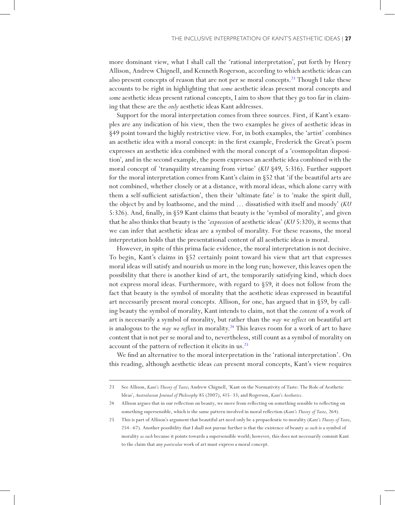more dominant view, what I shall call the 'rational interpretation', put forth by Henry Allison, Andrew Chignell, and Kenneth Rogerson, according to which aesthetic ideas can also present concepts of reason that are not per se moral concepts.<sup>23</sup> Though I take these accounts to be right in highlighting that *some* aesthetic ideas present moral concepts and *some* aesthetic ideas present rational concepts, I aim to show that they go too far in claiming that these are the *only* aesthetic ideas Kant addresses.

Support for the moral interpretation comes from three sources. First, if Kant's examples are any indication of his view, then the two examples he gives of aesthetic ideas in §49 point toward the highly restrictive view. For, in both examples, the 'artist' combines an aesthetic idea with a moral concept: in the first example, Frederick the Great's poem expresses an aesthetic idea combined with the moral concept of a 'cosmopolitan disposition', and in the second example, the poem expresses an aesthetic idea combined with the moral concept of 'tranquility streaming from virtue' (*KU* §49, 5:316). Further support for the moral interpretation comes from Kant's claim in §52 that 'if the beautiful arts are not combined, whether closely or at a distance, with moral ideas, which alone carry with them a self-sufficient satisfaction', then their 'ultimate fate' is to 'make the spirit dull, the object by and by loathsome, and the mind … dissatisfied with itself and moody' (*KU* 5:326). And, finally, in §59 Kant claims that beauty is the 'symbol of morality', and given that he also thinks that beauty is the '*expression* of aesthetic ideas' (*KU* 5:320), it seems that we can infer that aesthetic ideas are a symbol of morality. For these reasons, the moral interpretation holds that the presentational content of all aesthetic ideas is moral.

However, in spite of this prima facie evidence, the moral interpretation is not decisive. To begin, Kant's claims in §52 certainly point toward his view that art that expresses moral ideas will satisfy and nourish us more in the long run; however, this leaves open the possibility that there is another kind of art, the temporarily satisfying kind, which does not express moral ideas. Furthermore, with regard to §59, it does not follow from the fact that beauty is the symbol of morality that the aesthetic ideas expressed in beautiful art necessarily present moral concepts. Allison, for one, has argued that in §59, by calling beauty the symbol of morality, Kant intends to claim, not that the *content* of a work of art is necessarily a symbol of morality, but rather than the *way we reflect* on beautiful art is analogous to the *way we reflect* in morality.<sup>24</sup> This leaves room for a work of art to have content that is not per se moral and to, nevertheless, still count as a symbol of morality on account of the pattern of reflection it elicits in us.<sup>25</sup>

We find an alternative to the moral interpretation in the 'rational interpretation'. On this reading, although aesthetic ideas *can* present moral concepts, Kant's view requires

<sup>23</sup> See Allison, *Kant's Theory of Taste*; Andrew Chignell, 'Kant on the Normativity of Taste: The Role of Aesthetic Ideas', *Australasian Journal of Philosophy* 85 (2007), 415–33; and Rogerson, *Kant's Aesthetics*.

<sup>24</sup> Allison argues that in our reflection on beauty, we move from reflecting on something sensible to reflecting on something supersensible, which is the same pattern involved in moral reflection (*Kant's Theory of Taste*, 264).

<sup>25</sup> This is part of Allison's argument that beautiful art need only be a propaedeutic to morality (*Kant's Theory of Taste*, 254–67). Another possibility that I shall not pursue further is that the existence of beauty *as such* is a symbol of morality *as such* because it points towards a supersensible world; however, this does not necessarily commit Kant to the claim that any *particular* work of art must express a moral concept.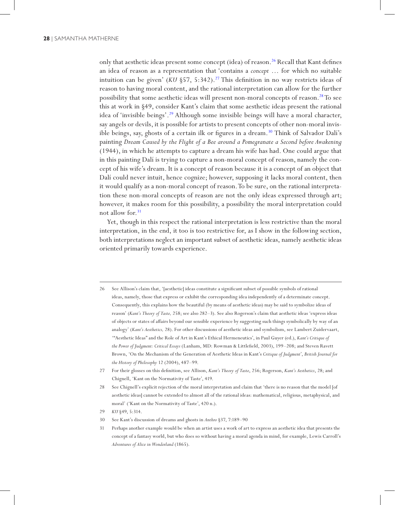only that aesthetic ideas present some concept (idea) of reason.26 Recall that Kant defines an idea of reason as a representation that 'contains a *concept* … for which no suitable intuition can be given' (*KU* §57, 5:342).<sup>27</sup> This definition in no way restricts ideas of reason to having moral content, and the rational interpretation can allow for the further possibility that some aesthetic ideas will present non-moral concepts of reason.<sup>28</sup> To see this at work in §49, consider Kant's claim that some aesthetic ideas present the rational idea of 'invisible beings'.29 Although some invisible beings will have a moral character, say angels or devils, it is possible for artists to present concepts of other non-moral invisible beings, say, ghosts of a certain ilk or figures in a dream.<sup>30</sup> Think of Salvador Dalí's painting *Dream Caused by the Flight of a Bee around a Pomegranate a Second before Awakening* (1944), in which he attempts to capture a dream his wife has had. One could argue that in this painting Dalí is trying to capture a non-moral concept of reason, namely the concept of his wife's dream. It is a concept of reason because it is a concept of an object that Dalí could never intuit, hence cognize; however, supposing it lacks moral content, then it would qualify as a non-moral concept of reason. To be sure, on the rational interpretation these non-moral concepts of reason are not the only ideas expressed through art; however, it makes room for this possibility, a possibility the moral interpretation could not allow for.<sup>31</sup>

Yet, though in this respect the rational interpretation is less restrictive than the moral interpretation, in the end, it too is too restrictive for, as I show in the following section, both interpretations neglect an important subset of aesthetic ideas, namely aesthetic ideas oriented primarily towards experience.

- 26 See Allison's claim that, '[aesthetic] ideas constitute a significant subset of possible symbols of rational ideas, namely, those that express or exhibit the corresponding idea independently of a determinate concept. Consequently, this explains how the beautiful (by means of aesthetic ideas) may be said to symbolize ideas of reason' (*Kant's Theory of Taste,* 258; see also 282–3). See also Rogerson's claim that aesthetic ideas 'express ideas of objects or states of affairs beyond our sensible experience by suggesting such things symbolically by way of an analogy' (*Kant's Aesthetics,* 28). For other discussions of aesthetic ideas and symbolism, see Lambert Zuidervaart, '"Aesthetic Ideas" and the Role of Art in Kant's Ethical Hermeneutics', in Paul Guyer (ed.), *Kant's Critique of the Power of Judgment: Critical Essays* (Lanham, MD: Rowman & Littlefield, 2003), 199–208; and Steven Ravett Brown, 'On the Mechanism of the Generation of Aesthetic Ideas in Kant's *Critique of Judgment*', *British Journal for the History of Philosophy* 12 (2004), 487–99.
- 27 For their glosses on this definition, see Allison, *Kant's Theory of Taste*, 256; Rogerson, *Kant's Aesthetics*, 28; and Chignell, 'Kant on the Normativity of Taste', 419.
- 28 See Chignell's explicit rejection of the moral interpretation and claim that 'there is no reason that the model [of aesthetic ideas] cannot be extended to almost all of the rational ideas: mathematical, religious, metaphysical, and moral' ('Kant on the Normativity of Taste', 420 n.).
- 29 *KU* §49, 5:314.
- 30 See Kant's discussion of dreams and ghosts in *Anthro* §37, 7:189–90
- 31 Perhaps another example would be when an artist uses a work of art to express an aesthetic idea that presents the concept of a fantasy world, but who does so without having a moral agenda in mind, for example, Lewis Carroll's *Adventures of Alice in Wonderland* (1865).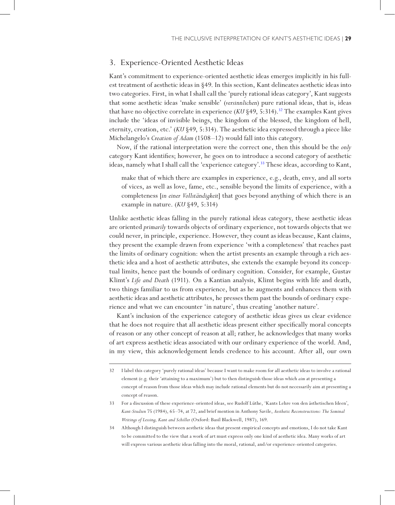## 3. Experience-Oriented Aesthetic Ideas

Kant's commitment to experience-oriented aesthetic ideas emerges implicitly in his fullest treatment of aesthetic ideas in §49. In this section, Kant delineates aesthetic ideas into two categories. First, in what I shall call the 'purely rational ideas category', Kant suggests that some aesthetic ideas 'make sensible' (*versinnlichen*) pure rational ideas, that is, ideas that have no objective correlate in experience  $(KU \S 49, 5:314).$ <sup>32</sup> The examples Kant gives include the 'ideas of invisible beings, the kingdom of the blessed, the kingdom of hell, eternity, creation, etc.' (*KU* §49, 5:314). The aesthetic idea expressed through a piece like Michelangelo's *Creation of Adam* (1508–12) would fall into this category.

Now, if the rational interpretation were the correct one, then this should be the *only* category Kant identifies; however, he goes on to introduce a second category of aesthetic ideas, namely what I shall call the 'experience category'.<sup>33</sup> These ideas, according to Kant,

make that of which there are examples in experience, e.g., death, envy, and all sorts of vices, as well as love, fame, etc., sensible beyond the limits of experience, with a completeness [*in einer Vollständigkeit*] that goes beyond anything of which there is an example in nature. (*KU* §49, 5:314)

Unlike aesthetic ideas falling in the purely rational ideas category, these aesthetic ideas are oriented *primarily* towards objects of ordinary experience, not towards objects that we could never, in principle, experience. However, they count as ideas because, Kant claims, they present the example drawn from experience 'with a completeness' that reaches past the limits of ordinary cognition: when the artist presents an example through a rich aesthetic idea and a host of aesthetic attributes, she extends the example beyond its conceptual limits, hence past the bounds of ordinary cognition. Consider, for example, Gustav Klimt's *Life and Death* (1911). On a Kantian analysis, Klimt begins with life and death, two things familiar to us from experience, but as he augments and enhances them with aesthetic ideas and aesthetic attributes, he presses them past the bounds of ordinary experience and what we can encounter 'in nature', thus creating 'another nature'.

Kant's inclusion of the experience category of aesthetic ideas gives us clear evidence that he does not require that all aesthetic ideas present either specifically moral concepts of reason or any other concept of reason at all; rather, he acknowledges that many works of art express aesthetic ideas associated with our ordinary experience of the world. And, in my view, this acknowledgement lends credence to his account. After all, our own

<sup>32</sup> I label this category 'purely rational ideas' because I want to make room for all aesthetic ideas to involve a rational element (e.g. their 'attaining to a maximum') but to then distinguish those ideas which *aim* at presenting a concept of reason from those ideas which may include rational elements but do not necessarily aim at presenting a concept of reason.

<sup>33</sup> For a discussion of these experience-oriented ideas, see Rudolf Lüthe, 'Kants Lehre von den ästhetischen Ideen', *Kant-Studien* 75 (1984), 65–74, at 72, and brief mention in Anthony Savile, *Aesthetic Reconstructions: The Seminal Writings of Lessing, Kant and Schiller* (Oxford: Basil Blackwell, 1987), 169.

<sup>34</sup> Although I distinguish between aesthetic ideas that present empirical concepts and emotions, I do not take Kant to be committed to the view that a work of art must express only one kind of aesthetic idea. Many works of art will express various aesthetic ideas falling into the moral, rational, and/or experience-oriented categories.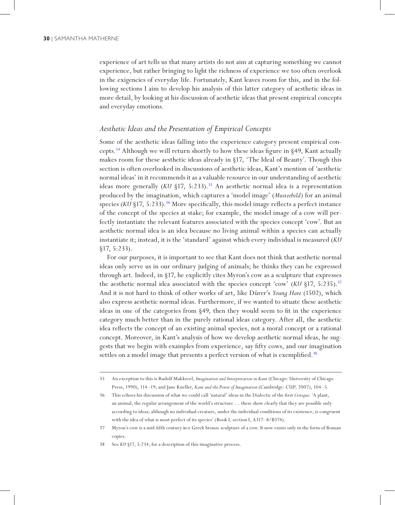experience of art tells us that many artists do not aim at capturing something we cannot experience, but rather bringing to light the richness of experience we too often overlook in the exigencies of everyday life. Fortunately, Kant leaves room for this, and in the following sections I aim to develop his analysis of this latter category of aesthetic ideas in more detail, by looking at his discussion of aesthetic ideas that present empirical concepts and everyday emotions.

#### *Aesthetic Ideas and the Presentation of Empirical Concepts*

Some of the aesthetic ideas falling into the experience category present empirical concepts.34 Although we will return shortly to how these ideas figure in §49, Kant actually makes room for these aesthetic ideas already in §17, 'The Ideal of Beauty'. Though this section is often overlooked in discussions of aesthetic ideas, Kant's mention of 'aesthetic normal ideas' in it recommends it as a valuable resource in our understanding of aesthetic ideas more generally  $(KU \S 17, 5:233).$ <sup>35</sup> An aesthetic normal idea is a representation produced by the imagination, which captures a 'model image' (*Musterbild*) for an animal species (*KU* §17, 5:233).<sup>36</sup> More specifically, this model image reflects a perfect instance of the concept of the species at stake; for example, the model image of a cow will perfectly instantiate the relevant features associated with the species concept 'cow'. But an aesthetic normal idea is an idea because no living animal within a species can actually instantiate it; instead, it is the 'standard' against which every individual is measured (*KU* §17, 5:233).

For our purposes, it is important to see that Kant does not think that aesthetic normal ideas only serve us in our ordinary judging of animals; he thinks they can be expressed through art. Indeed, in §17, he explicitly cites Myron's cow as a sculpture that expresses the aesthetic normal idea associated with the species concept 'cow' (*KU* §17, 5:235).37 And it is not hard to think of other works of art, like Dürer's *Young Hare* (1502), which also express aesthetic normal ideas. Furthermore, if we wanted to situate these aesthetic ideas in one of the categories from §49, then they would seem to fit in the experience category much better than in the purely rational ideas category. After all, the aesthetic idea reflects the concept of an existing animal species, not a moral concept or a rational concept. Moreover, in Kant's analysis of how we develop aesthetic normal ideas, he suggests that we begin with examples from experience, say fifty cows, and our imagination settles on a model image that presents a perfect version of what is exemplified.<sup>38</sup>

<sup>35</sup> An exception to this is Rudolf Makkreel, *Imagination and Interpretation in Kant* (Chicago: University of Chicago Press, 1990), 114–19; and Jane Kneller, *Kant and the Power of Imagination* (Cambridge: CUP, 2007), 104–5.

<sup>36</sup> This echoes his discussion of what we could call 'natural' ideas in the Dialectic of the first *Critique*: 'A plant, an animal, the regular arrangement of the world's structure … these show clearly that they are possible only according to ideas; although no individual creature, under the individual conditions of its existence, is congruent with the idea of what is most perfect of its species' (Book I, section I, A317–8/B374).

<sup>37</sup> Myron's cow is a mid-fifth century bce Greek bronze sculpture of a cow. It now exists only in the form of Roman copies.

<sup>38</sup> See *KU* §17, 5:234, for a description of this imaginative process.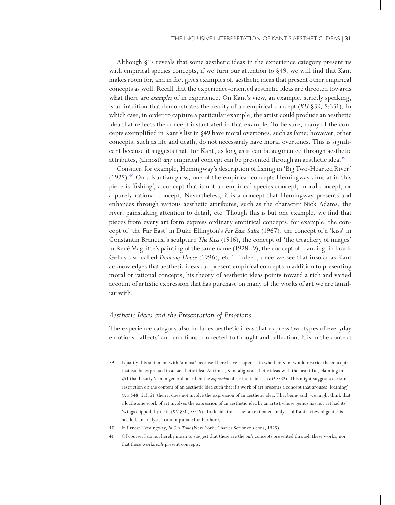Although §17 reveals that some aesthetic ideas in the experience category present us with empirical species concepts, if we turn our attention to §49, we will find that Kant makes room for, and in fact gives examples of, aesthetic ideas that present other empirical concepts as well. Recall that the experience-oriented aesthetic ideas are directed towards what there are *examples* of in experience. On Kant's view, an example, strictly speaking, is an intuition that demonstrates the reality of an empirical concept (*KU* §59, 5:351). In which case, in order to capture a particular example, the artist could produce an aesthetic idea that reflects the concept instantiated in that example. To be sure, many of the concepts exemplified in Kant's list in §49 have moral overtones, such as fame; however, other concepts, such as life and death, do not necessarily have moral overtones. This is significant because it suggests that, for Kant, as long as it can be augmented through aesthetic attributes, (almost) *any* empirical concept can be presented through an aesthetic idea.39

Consider, for example, Hemingway's description of fishing in 'Big Two-Hearted River'  $(1925).<sup>40</sup>$  On a Kantian gloss, one of the empirical concepts Hemingway aims at in this piece is 'fishing', a concept that is not an empirical species concept, moral concept, or a purely rational concept. Nevertheless, it is a concept that Hemingway presents and enhances through various aesthetic attributes, such as the character Nick Adams, the river, painstaking attention to detail, etc. Though this is but one example, we find that pieces from every art form express ordinary empirical concepts, for example, the concept of 'the Far East' in Duke Ellington's *Far East Suite* (1967), the concept of a 'kiss' in Constantin Brancusi's sculpture *The Kiss* (1916), the concept of 'the treachery of images' in René Magritte's painting of the same name (1928–9), the concept of 'dancing' in Frank Gehry's so-called *Dancing House* (1996), etc.<sup>41</sup> Indeed, once we see that insofar as Kant acknowledges that aesthetic ideas can present empirical concepts in addition to presenting moral or rational concepts, his theory of aesthetic ideas points toward a rich and varied account of artistic expression that has purchase on many of the works of art we are familiar with.

## *Aesthetic Ideas and the Presentation of Emotions*

The experience category also includes aesthetic ideas that express two types of everyday emotions: 'affects' and emotions connected to thought and reflection. It is in the context

<sup>39</sup> I qualify this statement with 'almost' because I here leave it open as to whether Kant would restrict the concepts that can be expressed in an aesthetic idea. At times, Kant aligns aesthetic ideas with the beautiful, claiming in §51 that beauty 'can in general be called the *expression* of aesthetic ideas' (*KU* 5:32). This might suggest a certain restriction on the content of an aesthetic idea such that if a work of art presents a concept that arouses 'loathing' (*KU* §48, 5:312), then it does not involve the expression of an aesthetic idea. That being said, we might think that a loathsome work of art involves the expression of an aesthetic idea by an artist whose genius has not yet had its 'wings clipped' by taste (*KU* §50, 5:319). To decide this issue, an extended analysis of Kant's view of genius is needed, an analysis I cannot pursue further here.

<sup>40</sup> In Ernest Hemingway, *In Our Time* (New York: Charles Scribner's Sons, 1925).

<sup>41</sup> Of course, I do not hereby mean to suggest that these are the *only* concepts presented through these works, nor that these works *only* present concepts.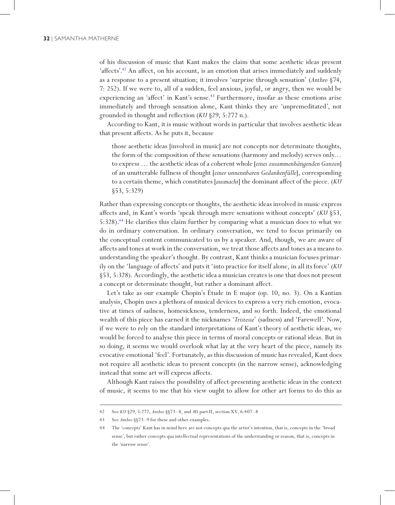of his discussion of music that Kant makes the claim that some aesthetic ideas present 'affects'.<sup>42</sup> An affect, on his account, is an emotion that arises immediately and suddenly as a response to a present situation; it involves 'surprise through sensation' (*Anthro* §74, 7: 252). If we were to, all of a sudden, feel anxious, joyful, or angry, then we would be experiencing an 'affect' in Kant's sense.<sup>43</sup> Furthermore, insofar as these emotions arise immediately and through sensation alone, Kant thinks they are 'unpremeditated', not grounded in thought and reflection (*KU* §29, 5:272 n.).

According to Kant, it is music without words in particular that involves aesthetic ideas that present affects. As he puts it, because

those aesthetic ideas [involved in music] are not concepts nor determinate thoughts, the form of the composition of these sensations (harmony and melody) serves only… to express … the aesthetic ideas of a coherent whole [*eines zusammenhängenden Ganzen*] of an unutterable fullness of thought [*einer unnennbaren Gedankenfülle*], corresponding to a certain theme, which constitutes [*ausmacht*] the dominant affect of the piece. (*KU* §53, 5:329)

Rather than expressing concepts or thoughts, the aesthetic ideas involved in music express affects and, in Kant's words 'speak through mere sensations without concepts' (*KU* §53, 5:328).<sup>44</sup> He clarifies this claim further by comparing what a musician does to what we do in ordinary conversation. In ordinary conversation, we tend to focus primarily on the conceptual content communicated to us by a speaker. And, though, we are aware of affects and tones at work in the conversation, we treat those affects and tones as a means to understanding the speaker's thought. By contrast, Kant thinks a musician focuses primarily on the 'language of affects' and puts it 'into practice for itself alone, in all its force' (*KU* §53, 5:328). Accordingly, the aesthetic idea a musician creates is one that does not present a concept or determinate thought, but rather a dominant affect.

Let's take as our example Chopin's Étude in E major (op. 10, no. 3). On a Kantian analysis, Chopin uses a plethora of musical devices to express a very rich emotion, evocative at times of sadness, homesickness, tenderness, and so forth. Indeed, the emotional wealth of this piece has earned it the nicknames '*Tristesse*' (sadness) and 'Farewell'. Now, if we were to rely on the standard interpretations of Kant's theory of aesthetic ideas, we would be forced to analyse this piece in terms of moral concepts or rational ideas. But in so doing, it seems we would overlook what lay at the very heart of the piece, namely its evocative emotional 'feel'. Fortunately, as this discussion of music has revealed, Kant does not require all aesthetic ideas to present concepts (in the narrow sense), acknowledging instead that some art will express affects.

Although Kant raises the possibility of affect-presenting aesthetic ideas in the context of music, it seems to me that his view ought to allow for other art forms to do this as

<sup>42</sup> See *KU* §29, 5:272, *Anthro* §§73–8, and *MS* part II, section XV, 6:407–8

<sup>43</sup> See *Anthro* §§73–9 for these and other examples.

<sup>44</sup> The 'concepts' Kant has in mind here are not concepts qua the artist's intention, that is, concepts in the 'broad sense', but rather concepts qua intellectual representations of the understanding or reason, that is, concepts in the 'narrow sense'.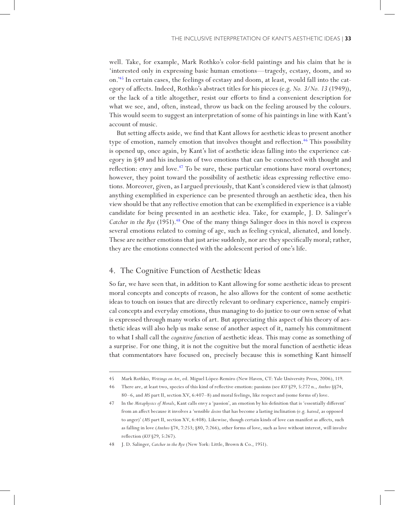well. Take, for example, Mark Rothko's color-field paintings and his claim that he is 'interested only in expressing basic human emotions—tragedy, ecstasy, doom, and so on.'45 In certain cases, the feelings of ecstasy and doom, at least, would fall into the category of affects. Indeed, Rothko's abstract titles for his pieces (e.g. *No. 3/No. 13* (1949)), or the lack of a title altogether, resist our efforts to find a convenient description for what we see, and, often, instead, throw us back on the feeling aroused by the colours. This would seem to suggest an interpretation of some of his paintings in line with Kant's account of music.

But setting affects aside, we find that Kant allows for aesthetic ideas to present another type of emotion, namely emotion that involves thought and reflection.<sup>46</sup> This possibility is opened up, once again, by Kant's list of aesthetic ideas falling into the experience category in §49 and his inclusion of two emotions that can be connected with thought and reflection: envy and love.<sup>47</sup> To be sure, these particular emotions have moral overtones; however, they point toward the possibility of aesthetic ideas expressing reflective emotions. Moreover, given, as I argued previously, that Kant's considered view is that (almost) anything exemplified in experience can be presented through an aesthetic idea, then his view should be that any reflective emotion that can be exemplified in experience is a viable candidate for being presented in an aesthetic idea. Take, for example, J. D. Salinger's *Catcher in the Rye* (1951).<sup>48</sup> One of the many things Salinger does in this novel is express several emotions related to coming of age, such as feeling cynical, alienated, and lonely. These are neither emotions that just arise suddenly, nor are they specifically moral; rather, they are the emotions connected with the adolescent period of one's life.

# 4. The Cognitive Function of Aesthetic Ideas

So far, we have seen that, in addition to Kant allowing for some aesthetic ideas to present moral concepts and concepts of reason, he also allows for the content of some aesthetic ideas to touch on issues that are directly relevant to ordinary experience, namely empirical concepts and everyday emotions, thus managing to do justice to our own sense of what is expressed through many works of art. But appreciating this aspect of his theory of aesthetic ideas will also help us make sense of another aspect of it, namely his commitment to what I shall call the *cognitive function* of aesthetic ideas. This may come as something of a surprise. For one thing, it is not the cognitive but the moral function of aesthetic ideas that commentators have focused on, precisely because this is something Kant himself

<sup>45</sup> Mark Rothko, *Writings on Art*, ed. Miguel López-Remiro (New Haven, CT: Yale University Press, 2006), 119.

<sup>46</sup> There are, at least two, species of this kind of reflective emotion: passions (see *KU* §29, 5:272 n., *Anthro* §§74, 80–6, and *MS* part II, section XV, 6:407–8) and moral feelings, like respect and (some forms of) love.

<sup>47</sup> In the *Metaphysics of Morals*, Kant calls envy a 'passion', an emotion by his definition that is 'essentially different' from an affect because it involves a 'sensible *desire* that has become a lasting inclination (e.g. *hatred*, as opposed to anger)' (*MS* part II, section XV, 6:408). Likewise, though certain kinds of love can manifest as affects, such as falling in love (*Anthro* §74, 7:253; §80, 7:266), other forms of love, such as love without interest, will involve reflection (*KU* §29, 5:267).

<sup>48</sup> J. D. Salinger, *Catcher in the Rye* (New York: Little, Brown & Co., 1951).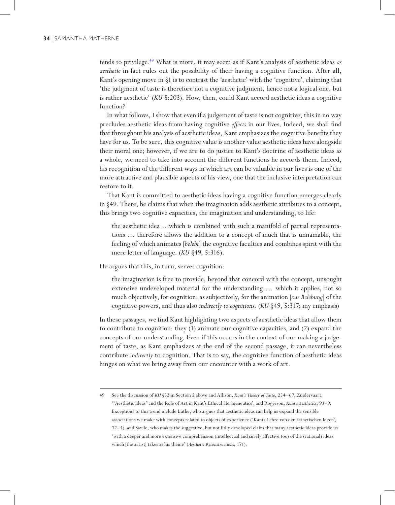tends to privilege.49 What is more, it may seem as if Kant's analysis of aesthetic ideas *as aesthetic* in fact rules out the possibility of their having a cognitive function. After all, Kant's opening move in §1 is to contrast the 'aesthetic' with the 'cognitive', claiming that 'the judgment of taste is therefore not a cognitive judgment, hence not a logical one, but is rather aesthetic' (*KU* 5:203). How, then, could Kant accord aesthetic ideas a cognitive function?

In what follows, I show that even if a judgement of taste is not cognitive, this in no way precludes aesthetic ideas from having cognitive *effects* in our lives. Indeed, we shall find that throughout his analysis of aesthetic ideas, Kant emphasizes the cognitive benefits they have for us. To be sure, this cognitive value is another value aesthetic ideas have alongside their moral one; however, if we are to do justice to Kant's doctrine of aesthetic ideas as a whole, we need to take into account the different functions he accords them. Indeed, his recognition of the different ways in which art can be valuable in our lives is one of the more attractive and plausible aspects of his view, one that the inclusive interpretation can restore to it.

That Kant is committed to aesthetic ideas having a cognitive function emerges clearly in §49. There, he claims that when the imagination adds aesthetic attributes to a concept, this brings two cognitive capacities, the imagination and understanding, to life:

the aesthetic idea …which is combined with such a manifold of partial representations … therefore allows the addition to a concept of much that is unnamable, the feeling of which animates [*belebt*] the cognitive faculties and combines spirit with the mere letter of language. (*KU* §49, 5:316).

He argues that this, in turn, serves cognition:

the imagination is free to provide, beyond that concord with the concept, unsought extensive undeveloped material for the understanding … which it applies, not so much objectively, for cognition, as subjectively, for the animation [*zur Belebung*] of the cognitive powers, and thus also *indirectly to cognitions*. (*KU* §49, 5:317; my emphasis)

In these passages, we find Kant highlighting two aspects of aesthetic ideas that allow them to contribute to cognition: they (1) animate our cognitive capacities, and (2) expand the concepts of our understanding. Even if this occurs in the context of our making a judgement of taste, as Kant emphasizes at the end of the second passage, it can nevertheless contribute *indirectly* to cognition. That is to say, the cognitive function of aesthetic ideas hinges on what we bring away from our encounter with a work of art.

<sup>49</sup> See the discussion of *KU* §52 in Section 2 above and Allison, *Kant's Theory of Taste*, 254–67; Zuidervaart, '"Aesthetic Ideas" and the Role of Art in Kant's Ethical Hermeneutics', and Rogerson, *Kant's Aesthetics*, 93–9. Exceptions to this trend include Lüthe, who argues that aesthetic ideas can help us expand the sensible associations we make with concepts related to objects of experience ('Kants Lehre von den ästhetischen Ideen', 72–4), and Savile, who makes the suggestive, but not fully developed claim that many aesthetic ideas provide us 'with a deeper and more extensive comprehension (intellectual and surely affective too) of the (rational) ideas which [the artist] takes as his theme' (*Aesthetic Reconstructions*, 171).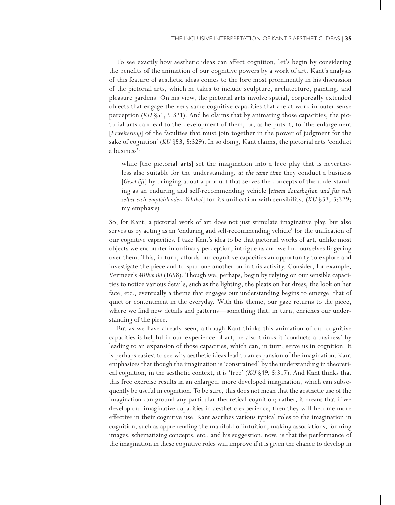To see exactly how aesthetic ideas can affect cognition, let's begin by considering the benefits of the animation of our cognitive powers by a work of art. Kant's analysis of this feature of aesthetic ideas comes to the fore most prominently in his discussion of the pictorial arts, which he takes to include sculpture, architecture, painting, and pleasure gardens. On his view, the pictorial arts involve spatial, corporeally extended objects that engage the very same cognitive capacities that are at work in outer sense perception (*KU* §51, 5:321). And he claims that by animating those capacities, the pictorial arts can lead to the development of them, or, as he puts it, to 'the enlargement [*Erweiterung*] of the faculties that must join together in the power of judgment for the sake of cognition' (*KU* §53, 5:329). In so doing, Kant claims, the pictorial arts 'conduct a business':

while [the pictorial arts] set the imagination into a free play that is nevertheless also suitable for the understanding, *at the same time* they conduct a business [*Geschäft*] by bringing about a product that serves the concepts of the understanding as an enduring and self-recommending vehicle [*einem dauerhaften und für sich selbst sich empfehlenden Vehikel*] for its unification with sensibility. (*KU* §53, 5:329; my emphasis)

So, for Kant, a pictorial work of art does not just stimulate imaginative play, but also serves us by acting as an 'enduring and self-recommending vehicle' for the unification of our cognitive capacities. I take Kant's idea to be that pictorial works of art, unlike most objects we encounter in ordinary perception, intrigue us and we find ourselves lingering over them. This, in turn, affords our cognitive capacities an opportunity to explore and investigate the piece and to spur one another on in this activity. Consider, for example, Vermeer's *Milkmaid* (1658). Though we, perhaps, begin by relying on our sensible capacities to notice various details, such as the lighting, the pleats on her dress, the look on her face, etc., eventually a theme that engages our understanding begins to emerge: that of quiet or contentment in the everyday. With this theme, our gaze returns to the piece, where we find new details and patterns—something that, in turn, enriches our understanding of the piece.

But as we have already seen, although Kant thinks this animation of our cognitive capacities is helpful in our experience of art, he also thinks it 'conducts a business' by leading to an expansion of those capacities, which can, in turn, serve us in cognition. It is perhaps easiest to see why aesthetic ideas lead to an expansion of the imagination. Kant emphasizes that though the imagination is 'constrained' by the understanding in theoretical cognition, in the aesthetic context, it is 'free' (*KU* §49, 5:317). And Kant thinks that this free exercise results in an enlarged, more developed imagination, which can subsequently be useful in cognition. To be sure, this does not mean that the aesthetic use of the imagination can ground any particular theoretical cognition; rather, it means that if we develop our imaginative capacities in aesthetic experience, then they will become more effective in their cognitive use. Kant ascribes various typical roles to the imagination in cognition, such as apprehending the manifold of intuition, making associations, forming images, schematizing concepts, etc., and his suggestion, now, is that the performance of the imagination in these cognitive roles will improve if it is given the chance to develop in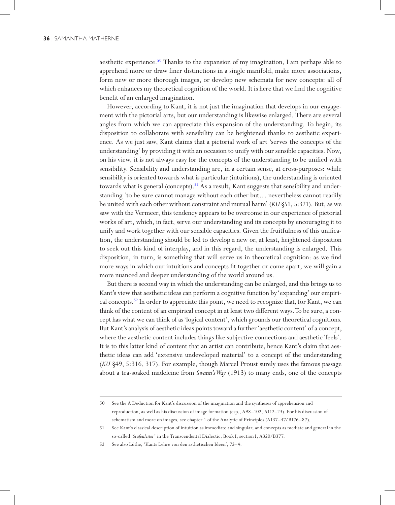aesthetic experience.<sup>50</sup> Thanks to the expansion of my imagination, I am perhaps able to apprehend more or draw finer distinctions in a single manifold, make more associations, form new or more thorough images, or develop new schemata for new concepts: all of which enhances my theoretical cognition of the world. It is here that we find the cognitive benefit of an enlarged imagination.

However, according to Kant, it is not just the imagination that develops in our engagement with the pictorial arts, but our understanding is likewise enlarged. There are several angles from which we can appreciate this expansion of the understanding. To begin, its disposition to collaborate with sensibility can be heightened thanks to aesthetic experience. As we just saw, Kant claims that a pictorial work of art 'serves the concepts of the understanding' by providing it with an occasion to unify with our sensible capacities. Now, on his view, it is not always easy for the concepts of the understanding to be unified with sensibility. Sensibility and understanding are, in a certain sense, at cross-purposes: while sensibility is oriented towards what is particular (intuitions), the understanding is oriented towards what is general (concepts).<sup>51</sup> As a result, Kant suggests that sensibility and understanding 'to be sure cannot manage without each other but… nevertheless cannot readily be united with each other without constraint and mutual harm' (*KU* §51, 5:321). But, as we saw with the Vermeer, this tendency appears to be overcome in our experience of pictorial works of art, which, in fact, serve our understanding and its concepts by encouraging it to unify and work together with our sensible capacities. Given the fruitfulness of this unification, the understanding should be led to develop a new or, at least, heightened disposition to seek out this kind of interplay, and in this regard, the understanding is enlarged. This disposition, in turn, is something that will serve us in theoretical cognition: as we find more ways in which our intuitions and concepts fit together or come apart, we will gain a more nuanced and deeper understanding of the world around us.

But there is second way in which the understanding can be enlarged, and this brings us to Kant's view that aesthetic ideas can perform a cognitive function by 'expanding' our empirical concepts.<sup>52</sup> In order to appreciate this point, we need to recognize that, for Kant, we can think of the content of an empirical concept in at least two different ways. To be sure, a concept has what we can think of as 'logical content', which grounds our theoretical cognitions. But Kant's analysis of aesthetic ideas points toward a further 'aesthetic content' of a concept, where the aesthetic content includes things like subjective connections and aesthetic 'feels'. It is to this latter kind of content that an artist can contribute, hence Kant's claim that aesthetic ideas can add 'extensive undeveloped material' to a concept of the understanding (*KU* §49, 5:316, 317). For example, though Marcel Proust surely uses the famous passage about a tea-soaked madeleine from *Swann's Way* (1913) to many ends, one of the concepts

<sup>50</sup> See the A Deduction for Kant's discussion of the imagination and the syntheses of apprehension and reproduction, as well as his discussion of image formation (esp., A98–102, A112–23). For his discussion of schematism and more on images, see chapter 1 of the Analytic of Principles (A137–47/B176–87).

<sup>51</sup> See Kant's classical description of intuition as immediate and singular, and concepts as mediate and general in the so-called '*Stufenleiter*' in the Transcendental Dialectic, Book I, section I, A320/B377.

<sup>52</sup> See also Lüthe, 'Kants Lehre von den ästhetischen Ideen', 72–4.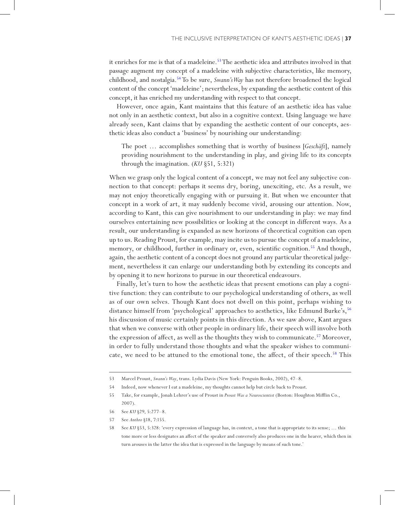it enriches for me is that of a madeleine.<sup>53</sup> The aesthetic idea and attributes involved in that passage augment my concept of a madeleine with subjective characteristics, like memory, childhood, and nostalgia.54 To be sure, *Swann's Way* has not therefore broadened the logical content of the concept 'madeleine'; nevertheless, by expanding the aesthetic content of this concept, it has enriched my understanding with respect to that concept.

However, once again, Kant maintains that this feature of an aesthetic idea has value not only in an aesthetic context, but also in a cognitive context. Using language we have already seen, Kant claims that by expanding the aesthetic content of our concepts, aesthetic ideas also conduct a 'business' by nourishing our understanding:

The poet … accomplishes something that is worthy of business [*Geschäft*], namely providing nourishment to the understanding in play, and giving life to its concepts through the imagination. (*KU* §51, 5:321)

When we grasp only the logical content of a concept, we may not feel any subjective connection to that concept: perhaps it seems dry, boring, unexciting, etc. As a result, we may not enjoy theoretically engaging with or pursuing it. But when we encounter that concept in a work of art, it may suddenly become vivid, arousing our attention. Now, according to Kant, this can give nourishment to our understanding in play: we may find ourselves entertaining new possibilities or looking at the concept in different ways. As a result, our understanding is expanded as new horizons of theoretical cognition can open up to us. Reading Proust, for example, may incite us to pursue the concept of a madeleine, memory, or childhood, further in ordinary or, even, scientific cognition.<sup>55</sup> And though, again, the aesthetic content of a concept does not ground any particular theoretical judgement, nevertheless it can enlarge our understanding both by extending its concepts and by opening it to new horizons to pursue in our theoretical endeavours.

Finally, let's turn to how the aesthetic ideas that present emotions can play a cognitive function: they can contribute to our psychological understanding of others, as well as of our own selves. Though Kant does not dwell on this point, perhaps wishing to distance himself from 'psychological' approaches to aesthetics, like Edmund Burke's, <sup>56</sup> his discussion of music certainly points in this direction. As we saw above, Kant argues that when we converse with other people in ordinary life, their speech will involve both the expression of affect, as well as the thoughts they wish to communicate.<sup>57</sup> Moreover, in order to fully understand those thoughts and what the speaker wishes to communicate, we need to be attuned to the emotional tone, the affect, of their speech.<sup>58</sup> This

<sup>53</sup> Marcel Proust, *Swann's Way*, trans. Lydia Davis (New York: Penguin Books, 2002), 47–8.

<sup>54</sup> Indeed, now whenever I eat a madeleine, my thoughts cannot help but circle back to Proust.

<sup>55</sup> Take, for example, Jonah Lehrer's use of Proust in *Proust Was a Neuroscientist* (Boston: Houghton Mifflin Co., 2007).

<sup>56</sup> See *KU* §29, 5:277–8.

<sup>57</sup> See *Anthro* §18, 7:155.

<sup>58</sup> See *KU* §53, 5:328: 'every expression of language has, in context, a tone that is appropriate to its sense; … this tone more or less designates an affect of the speaker and conversely also produces one in the hearer, which then in turn arouses in the latter the idea that is expressed in the language by means of such tone.'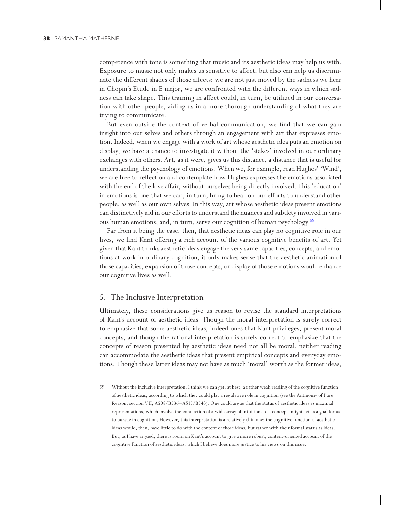competence with tone is something that music and its aesthetic ideas may help us with. Exposure to music not only makes us sensitive to affect, but also can help us discriminate the different shades of those affects: we are not just moved by the sadness we hear in Chopin's Étude in E major, we are confronted with the different ways in which sadness can take shape. This training in affect could, in turn, be utilized in our conversation with other people, aiding us in a more thorough understanding of what they are trying to communicate.

But even outside the context of verbal communication, we find that we can gain insight into our selves and others through an engagement with art that expresses emotion. Indeed, when we engage with a work of art whose aesthetic idea puts an emotion on display, we have a chance to investigate it without the 'stakes' involved in our ordinary exchanges with others. Art, as it were, gives us this distance, a distance that is useful for understanding the psychology of emotions. When we, for example, read Hughes' 'Wind', we are free to reflect on and contemplate how Hughes expresses the emotions associated with the end of the love affair, without ourselves being directly involved. This 'education' in emotions is one that we can, in turn, bring to bear on our efforts to understand other people, as well as our own selves. In this way, art whose aesthetic ideas present emotions can distinctively aid in our efforts to understand the nuances and subtlety involved in various human emotions, and, in turn, serve our cognition of human psychology.<sup>59</sup>

Far from it being the case, then, that aesthetic ideas can play no cognitive role in our lives, we find Kant offering a rich account of the various cognitive benefits of art. Yet given that Kant thinks aesthetic ideas engage the very same capacities, concepts, and emotions at work in ordinary cognition, it only makes sense that the aesthetic animation of those capacities, expansion of those concepts, or display of those emotions would enhance our cognitive lives as well.

### 5. The Inclusive Interpretation

Ultimately, these considerations give us reason to revise the standard interpretations of Kant's account of aesthetic ideas. Though the moral interpretation is surely correct to emphasize that some aesthetic ideas, indeed ones that Kant privileges, present moral concepts, and though the rational interpretation is surely correct to emphasize that the concepts of reason presented by aesthetic ideas need not all be moral, neither reading can accommodate the aesthetic ideas that present empirical concepts and everyday emotions. Though these latter ideas may not have as much 'moral' worth as the former ideas,

<sup>59</sup> Without the inclusive interpretation, I think we can get, at best, a rather weak reading of the cognitive function of aesthetic ideas, according to which they could play a regulative role in cognition (see the Antinomy of Pure Reason, section VII, A508/B536–A515/B543). One could argue that the status of aesthetic ideas as maximal representations, which involve the connection of a wide array of intuitions to a concept, might act as a goal for us to pursue in cognition. However, this interpretation is a relatively thin one: the cognitive function of aesthetic ideas would, then, have little to do with the content of those ideas, but rather with their formal status as ideas. But, as I have argued, there is room on Kant's account to give a more robust, content-oriented account of the cognitive function of aesthetic ideas, which I believe does more justice to his views on this issue.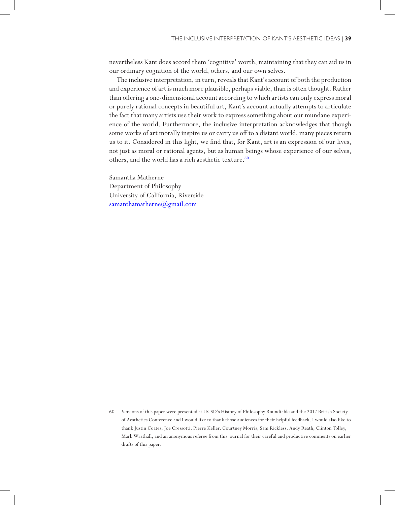nevertheless Kant does accord them 'cognitive' worth, maintaining that they can aid us in our ordinary cognition of the world, others, and our own selves.

The inclusive interpretation, in turn, reveals that Kant's account of both the production and experience of art is much more plausible, perhaps viable, than is often thought. Rather than offering a one-dimensional account according to which artists can only express moral or purely rational concepts in beautiful art, Kant's account actually attempts to articulate the fact that many artists use their work to express something about our mundane experience of the world. Furthermore, the inclusive interpretation acknowledges that though some works of art morally inspire us or carry us off to a distant world, many pieces return us to it. Considered in this light, we find that, for Kant, art is an expression of our lives, not just as moral or rational agents, but as human beings whose experience of our selves, others, and the world has a rich aesthetic texture.<sup>60</sup>

Samantha Matherne Department of Philosophy University of California, Riverside [samanthamatherne@gmail.com](mailto:samanthamatherne@gmail.com)

<sup>60</sup> Versions of this paper were presented at UCSD's History of Philosophy Roundtable and the 2012 British Society of Aesthetics Conference and I would like to thank those audiences for their helpful feedback. I would also like to thank Justin Coates, Joe Cressotti, Pierre Keller, Courtney Morris, Sam Rickless, Andy Reath, Clinton Tolley, Mark Wrathall, and an anonymous referee from this journal for their careful and productive comments on earlier drafts of this paper.